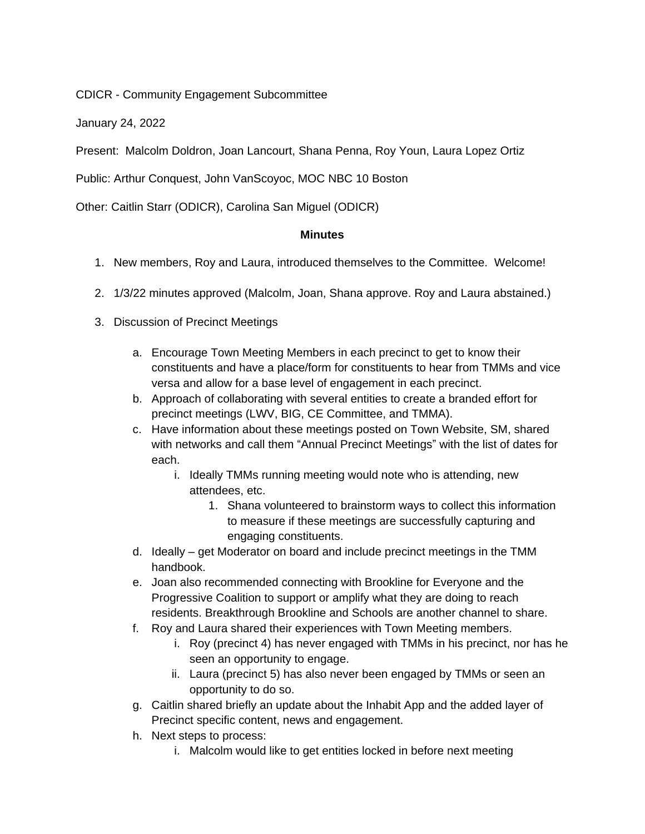CDICR - Community Engagement Subcommittee

January 24, 2022

Present: Malcolm Doldron, Joan Lancourt, Shana Penna, Roy Youn, Laura Lopez Ortiz

Public: Arthur Conquest, John VanScoyoc, MOC NBC 10 Boston

Other: Caitlin Starr (ODICR), Carolina San Miguel (ODICR)

## **Minutes**

- 1. New members, Roy and Laura, introduced themselves to the Committee. Welcome!
- 2. 1/3/22 minutes approved (Malcolm, Joan, Shana approve. Roy and Laura abstained.)
- 3. Discussion of Precinct Meetings
	- a. Encourage Town Meeting Members in each precinct to get to know their constituents and have a place/form for constituents to hear from TMMs and vice versa and allow for a base level of engagement in each precinct.
	- b. Approach of collaborating with several entities to create a branded effort for precinct meetings (LWV, BIG, CE Committee, and TMMA).
	- c. Have information about these meetings posted on Town Website, SM, shared with networks and call them "Annual Precinct Meetings" with the list of dates for each.
		- i. Ideally TMMs running meeting would note who is attending, new attendees, etc.
			- 1. Shana volunteered to brainstorm ways to collect this information to measure if these meetings are successfully capturing and engaging constituents.
	- d. Ideally get Moderator on board and include precinct meetings in the TMM handbook.
	- e. Joan also recommended connecting with Brookline for Everyone and the Progressive Coalition to support or amplify what they are doing to reach residents. Breakthrough Brookline and Schools are another channel to share.
	- f. Roy and Laura shared their experiences with Town Meeting members.
		- i. Roy (precinct 4) has never engaged with TMMs in his precinct, nor has he seen an opportunity to engage.
		- ii. Laura (precinct 5) has also never been engaged by TMMs or seen an opportunity to do so.
	- g. Caitlin shared briefly an update about the Inhabit App and the added layer of Precinct specific content, news and engagement.
	- h. Next steps to process:
		- i. Malcolm would like to get entities locked in before next meeting